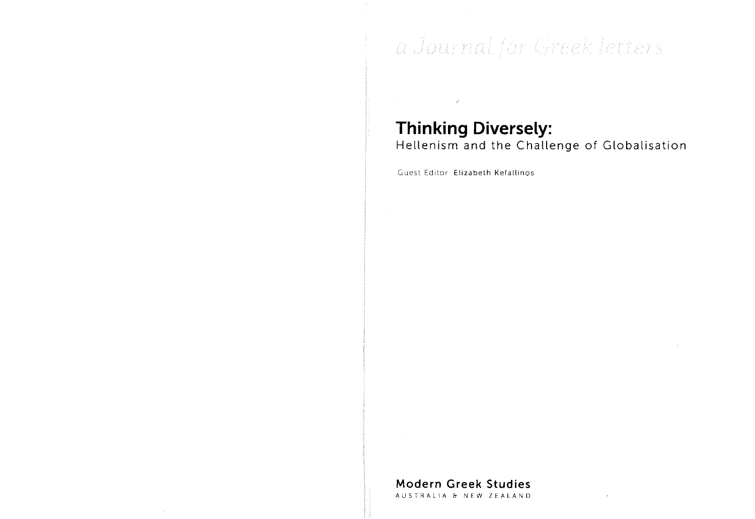# a Journal for Greek letters

# **Thinking Diversely:**

Hellenism and the Challenge of Globalisation

Guest Editor Elizabeth Kefallinos

**Modern Greek Studies** 

AUSTRALIA & NEW ZEALAND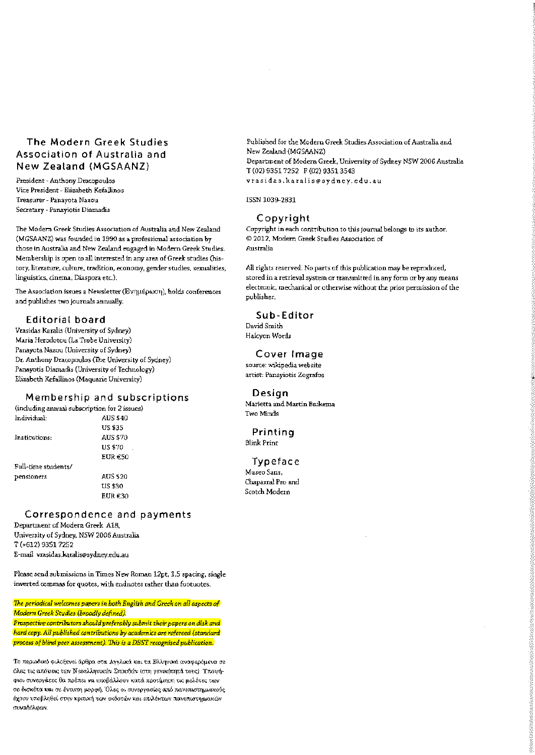# The Modern Greek Studies Association of Australia and New Zealand (MGSAANZ)

President - Anthony Dracopoulos Vice President - Elizabeth Kefallinos Treasurer - Panavota Nazou Secretary - Panaviotis Diamadis

The Modern Greek Studies Association of Australia and New Zealand (MGSAANZ) was founded in 1990 as a professional association by those in Australia and New Zealand engaged in Modern Greek Studies. Membership is open to all interested in any area of Greek studies (history, literature, culture, tradition, economy, gender studies, sexualities, linguistics, cinema, Diaspora etc.).

The Association issues a Newsletter (Evnuspoon), holds conferences and publishes two journals annually.

### **Editorial board**

Vrasidas Karalis (University of Sydney) Maria Herodotou (La Trobe University) Panayota Nazou (University of Sydney) Dr. Anthony Dracopoulos (The University of Sydney) Panavotis Diamadis (University of Technology) Elizabeth Kefallinos (Maquarie University)

#### Membership and subscriptions

(including annual subscription for 2 issues) Individual. AUS \$40 784.201 Institutions: ATTS \$70 **US \$70** EUR €50 Full-time students/ AUS \$20 pensioners 082.211 EUR<sub>E30</sub>

# Correspondence and payments

Department of Modern Greek A18, University of Sydney, NSW 2006 Australia T (+612) 9351 7252 E-mail vrasidas.karalis@sydney.edu.au

Please send submissions in Times New Roman 12pt, 1.5 spacing, single inverted commas for quotes, with endnotes rather than footuotes.

The periodical welcomes papers in both English and Greek on all aspects of Modern Greek Studies (broadly defined).

Prospective contributors should preferably submit their papers on disk and hard copy. All published contributions by academics are refereed (standard process of blind peer assessment). This is a DEST recognised publication.

Το περιοδικό φιλοξενεί άρθρα στα Αγγλικά και τα Ελληνικά αναφερόμενα σε όλες τις απόψεις των Νεοελληνικών Σπουδών (στη νενικάτητά τους). Υποψήφιοι συνεργάτες θα πρέπει να υποβάλλουν κατά προτίμηση τις μελέτες των σε δισκέτα και σε έντυπη μορφή. Όλες οι συνεργασίες από πανεπιστημιακούς έχουν υποβληθεί στην κρετική των εκδοτών και επιλέκτων πανεπιστημιακών συναδέλφων.

Published for the Modern Greek Studies Association of Australia and New Zealand (MGSAANZ) Department of Modern Greek, University of Sydney NSW 2006 Australia T (02) 9351 7252 F (02) 9351 3543 vrasidas.karalis@sydney.edu.au

ISSN 1039-2831

#### Copyright

Copyright in each contribution to this journal belongs to its author. 2012. Modern Greek Studies Association of Australia

All rights reserved. No parts of this publication may be reproduced. stored in a retrieval system or transmitted in any form or by any means electronic, mechanical or otherwise without the prior permission of the miblisher

### Sub-Editor

David Smith Halcvon Words

#### Cover Image

source: wikipedia website artist: Panayiotis Zografos

#### Desian

Marietta and Martin Bnikema Two Minds

#### Printina **Blink Print**

Tvoeface Museo Sans, Chaparral Pro and Scotch Modern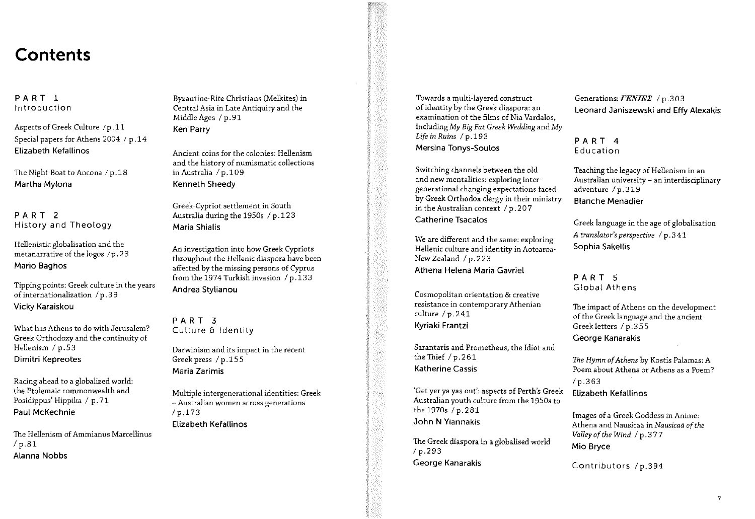# Contents

PART 1 Introduction

Aspects of Greek Culture /p.11 Special papers for Athens 2004 / p.14 **Elizabeth Kefallinos** 

The Night Boat to Ancona / p.18 Martha Mylona

PART<sub>2</sub> History and Theology

Hellenistic globalisation and the metanarrative of the logos /p.23 **Mario Baghos** 

Tipping points: Greek culture in the years of internationalization / p.39 Vicky Karaiskou

What has Athens to do with Jerusalem? Greek Orthodoxy and the continuity of Hellenism / p.53 Dimitri Kepreotes

Racing ahead to a globalized world: the Ptolemaic commonwealth and Posidippus' Hippika / p.71 Paul McKechnie

The Hellenism of Ammianus Marcellinus  $/p.81$ **Alanna Nobbs** 

Byzantine-Rite Christians (Melkites) in Central Asia in Late Antiquity and the Middle Ages / p.91 Ken Parry

Ancient coins for the colonies: Hellenism and the history of numismatic collections in Australia / p.109 Kenneth Sheedy

Greek-Cypriot settlement in South Australia during the 1950s / p.123 Maria Shialis

An investigation into how Greek Cypriots throughout the Hellenic diaspora have been affected by the missing persons of Cyprus from the 1974 Turkish invasion  $/p.133$ Andrea Stylianou

PART<sub>3</sub> Culture & Identity

Darwinism and its impact in the recent Greek press / p.155 Maria Zarimis

Multiple intergenerational identities: Greek - Australian women across generations  $/p.173$ Elizabeth Kefallinos

Towards a multi-layered construct of identity by the Greek diaspora: an examination of the films of Nia Vardalos. including My Big Fat Greek Wedding and My Life in Ruins / p.193 Mersina Tonys-Soulos

Switching channels between the old and new mentalities: exploring intergenerational changing expectations faced by Greek Orthodox clergy in their ministry in the Australian context /  $p.207$ 

**Catherine Tsacalos** 

We are different and the same: exploring Hellenic culture and identity in Aotearoa-New Zealand / p.223 Athena Helena Maria Gavriel

Cosmopolitan orientation & creative resistance in contemporary Athenian culture / p.241 Kvriaki Frantzi

Sarantaris and Prometheus, the Idiot and the Thief  $/p.261$ **Katherine Cassis** 

'Get yer ya yas out': aspects of Perth's Greek Australian youth culture from the 1950s to the 1970s / p. 281 John N Yiannakis

The Greek diaspora in a globalised world  $/p.293$ George Kanarakis

Generations: **FENIEE** / p.303 Leonard Janiszewski and Effy Alexakis

PART<sub>4</sub> Education

Teaching the legacy of Hellenism in an Australian university - an interdisciplinary adventure / p.319 **Blanche Menadier** 

Greek language in the age of globalisation A translator's perspective / p.341 Sophia Sakellis

PART<sub>5</sub> Global Athens

The impact of Athens on the development of the Greek language and the ancient Greek letters / p.355 George Kanarakis

The Hymn of Athens by Kostis Palamas: A Poem about Athens or Athens as a Poem?  $/p.363$ Elizabeth Kefallinos

Images of a Greek Goddess in Anime: Athena and Nausicaä in Nausicaä of the Valley of the Wind / p.377 Mio Bryce

Contributors /p.394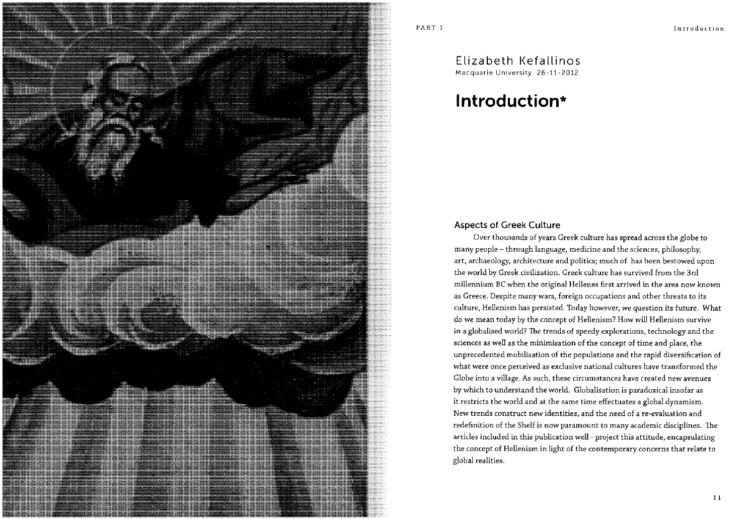# Flizabeth Kefallinos Macquarie University 26-11-2012

# Introduction\*

# **Aspects of Greek Culture**

Over thousands of years Greek culture has spread across the globe to many people -- through language, medicine and the sciences, philosophy, art, archaeology, architecture and politics; much of has been bestowed upon the world by Greek civilization. Greek culture has survived from the 3rd millennium BC when the original Hellenes first arrived in the area now known as Greece. Despite many wars, foreign occupations and other threats to its culture, Hellenism has persisted. Today however, we question its future. What do we mean today by the concept of Hellenism? How will Hellenism survive in a globalised world? The trends of speedy explorations, technology and the sciences as well as the minimisation of the concept of time and place, the unprecedented mobilisation of the populations and the rapid diversification of what were once perceived as exclusive national cultures have transformed the Globe into a village. As such, these circumstances have created new avenues by which to understand the world. Globalisation is paradoxical insofar as it restricts the world and at the same time effectuates a global dynamism. New trends construct new identities, and the need of a re-evaluation and redefinition of the Shelf is now paramount to many academic disciplines. The articles included in this publication well - project this attitude, encapsulating the concept of Hellenism in light of the contemporary concerns that relate to global realities.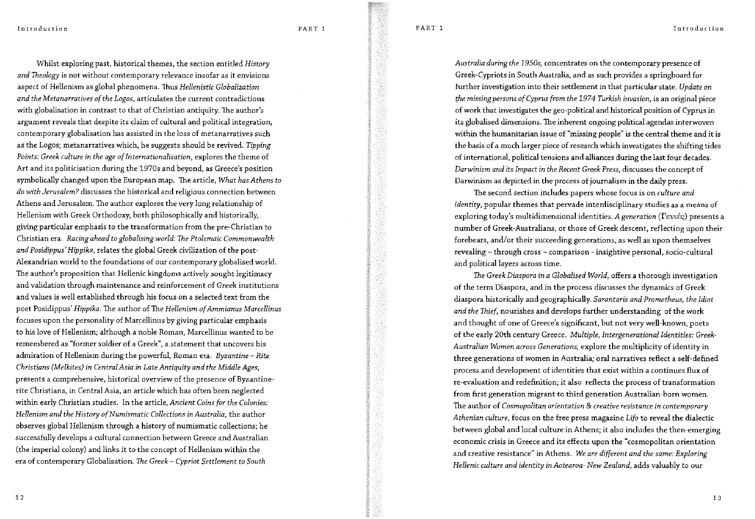PART<sub>1</sub>

Introduction

Whilst exploring past, historical themes, the section entitled History and Theology is not without contemporary relevance insofar as it envisions aspect of Hellenism as global phenomena. Thus Hellenistic Globalization and the Metanarratives of the Logos, articulates the current contradictions with globalisation in contrast to that of Christian antiquity. The author's argument reveals that despite its claim of cultural and political integration, contemporary globalisation has assisted in the loss of metanarratives such as the Logos; metanarratives which, he suggests should be revived. Tipping Points: Greek culture in the age of Internationalisation, explores the theme of Art and its politicisation during the 1970s and beyond, as Greece's position symbolically changed upon the European map. The article, What has Athens to do with Jerusalem? discusses the historical and religious connection between Athens and Jerusalem. The author explores the very long relationship of Hellenism with Greek Orthodoxy, both philosophically and historically, giving particular emphasis to the transformation from the pre-Christian to Christian era. Racing ahead to globalising world: The Ptolemaic Commonwealth and Posidippus' Hippika, relates the global Greek civilization of the post-Alexandrian world to the foundations of our contemporary globalised world. The author's proposition that Hellenic kingdoms actively sought legitimacy and validation through maintenance and reinforcement of Greek institutions and values is well established through his focus on a selected text from the poet Posidippus' Hippika. The author of The Hellenism of Ammianus Marcellinus focuses upon the personality of Marcellinus by giving particular emphasis to his love of Hellenism; although a noble Roman, Marcellinus wanted to be remembered as "former soldier of a Greek", a statement that uncovers his admiration of Hellenism during the powerful, Roman era. Byzantine - Rite Christians (Melkites) in Central Asia in Late Antiquity and the Middle Ages, presents a comprehensive, historical overview of the presence of Byzantinerite Christians, in Central Asia, an article which has often been neglected within early Christian studies. In the article, Ancient Coins for the Colonies: Hellenism and the History of Numismatic Collections in Australia, the author observes global Hellenism through a history of numismatic collections; he successfully develops a cultural connection between Greece and Australian (the imperial colony) and links it to the concept of Hellenism within the era of contemporary Globalisation. The Greek - Cypriot Settlement to South

Australia during the 1950s, concentrates on the contemporary presence of Greek-Cypriots in South Australia, and as such provides a springboard for further investigation into their settlement in that particular state. Update on the missing persons of Cyprus from the 1974 Turkish invasion, is an original piece of work that investigates the geo-political and historical position of Cyprus in its globalised dimensions. The inherent ongoing political agendas interwoven within the humanitarian issue of "missing people" is the central theme and it is the basis of a much larger piece of research which investigates the shifting tides of international, political tensions and alliances during the last four decades. Darwinism and its Impact in the Recent Greek Press, discusses the concept of Darwinism as depicted in the process of journalism in the daily press.

The second section includes papers whose focus is on culture and identity, popular themes that pervade interdisciplinary studies as a means of exploring today's multidimensional identities. A generation (Tevtéc) presents a number of Greek-Australians, or those of Greek descent, reflecting upon their forebears, and/or their succeeding generations, as well as upon themselves revealing - through cross - comparison - insightive personal, socio-cultural and political layers across time.

The Greek Diaspora in a Globalised World, offers a thorough investigation of the term Diaspora, and in the process discusses the dynamics of Greek diaspora historically and geographically. Sarantaris and Prometheus, the Idiot and the Thief, nourishes and develops further understanding of the work and thought of one of Greece's significant, but not very well-known, poets of the early 20th century Greece. Multiple, Intergenerational Identities: Greek-Australian Women across Generations, explore the multiplicity of identity in three generations of women in Australia; oral narratives reflect a self-defined process and development of identities that exist within a continues flux of re-evaluation and redefinition; it also reflects the process of transformation from first generation migrant to third generation Australian-born women. The author of Cosmopolitan orientation & creative resistance in contemporary Athenian culture, focus on the free press magazine Lifo to reveal the dialectic between global and local culture in Athens; it also includes the then-emerging economic crisis in Greece and its effects upon the "cosmopolitan orientation and creative resistance" in Athens. We are different and the same: Exploring Hellenic culture and identity in Aotearoa-New Zealand, adds valuably to our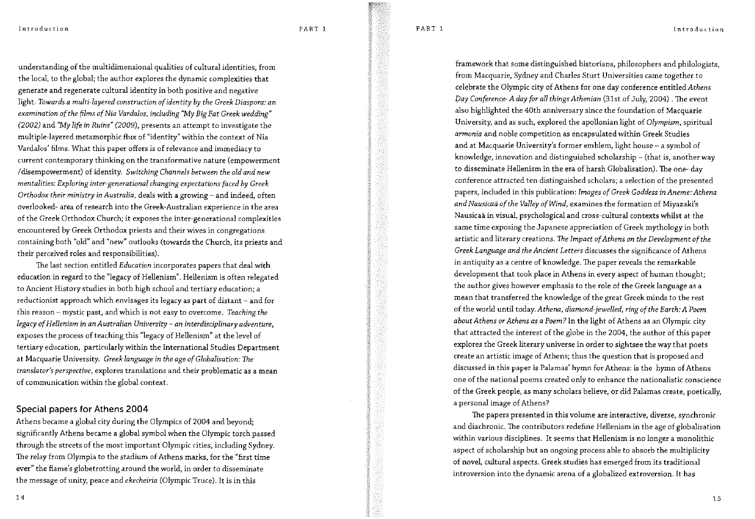PART<sub>1</sub>

Introduction

understanding of the multidimensional qualities of cultural identities, from the local, to the global; the author explores the dynamic complexities that generate and regenerate cultural identity in both positive and negative light. Towards a multi-layered construction of identity by the Greek Diaspora: an examination of the films of Nia Vardalos, including "My Big Fat Greek wedding" (2002) and "My life in Ruins" (2009), presents an attempt to investigate the multiple-layered metamorphic flux of "identity" within the context of Nia Vardalos' films. What this paper offers is of relevance and immediacy to current contemporary thinking on the transformative nature (empowerment /disempowerment) of identity. Switching Channels between the old and new mentalities: Exploring inter-generational changing expectations faced by Greek Orthodox their ministry in Australia, deals with a growing - and indeed, often overlooked- area of research into the Greek-Australian experience in the area of the Greek Orthodox Church; it exposes the inter-generational complexities encountered by Greek Orthodox priests and their wives in congregations containing both "old" and "new" outlooks (towards the Church, its priests and their perceived roles and responsibilities).

The last section entitled Education incorporates papers that deal with education in regard to the "legacy of Hellenism". Hellenism is often relegated to Ancient History studies in both high school and tertiary education; a reductionist approach which envisages its legacy as part of distant - and for this reason -- mystic past, and which is not easy to overcome. Teaching the legacy of Hellenism in an Australian University - an interdisciplinary adventure, exposes the process of teaching this "legacy of Hellenism" at the level of tertiary education, particularly within the International Studies Department at Macquarie University. Greek language in the age of Globalisation: The translator's perspective, explores translations and their problematic as a mean of communication within the global context.

# Special papers for Athens 2004

Athens became a global city during the Olympics of 2004 and beyond: significantly Athens became a global symbol when the Olympic torch passed through the streets of the most important Olympic cities, including Sydney. The relay from Olympia to the stadium of Athens marks, for the "first time ever" the flame's globetrotting around the world, in order to disseminate the message of unity, peace and *ekecheiria* (Olympic Truce). It is in this

framework that some distinguished historians, philosophers and philologists, from Macquarie, Sydney and Charles Sturt Universities came together to celebrate the Olympic city of Athens for one day conference entitled Athens Day Conference-A day for all things Athenian (31st of July, 2004). The event also highlighted the 40th anniversary since the foundation of Macquarie University, and as such, explored the apollonian light of Olympism, spiritual armonia and noble competition as encapsulated within Greek Studies and at Macquarie University's former emblem, light house - a symbol of knowledge, innovation and distinguished scholarship - (that is, another way to disseminate Hellenism in the era of harsh Globalisation). The one-day conference attracted ten distinguished scholars; a selection of the presented papers, included in this publication: Images of Greek Goddess in Aneme: Athena and Nausicaä of the Valley of Wind, examines the formation of Miyazaki's Nausicaä in visual, psychological and cross-cultural contexts whilst at the same time exposing the Japanese appreciation of Greek mythology in both artistic and literary creations. The Impact of Athens on the Development of the Greek Language and the Ancient Letters discusses the significance of Athens in antiquity as a centre of knowledge. The paper reveals the remarkable development that took place in Athens in every aspect of human thought; the author gives however emphasis to the role of the Greek language as a mean that transferred the knowledge of the great Greek minds to the rest of the world until today. Athena, diamond-jewelled, ring of the Earth: A Poem about Athens or Athens as a Poem? In the light of Athens as an Olympic city that attracted the interest of the globe in the 2004, the author of this paper explores the Greek literary universe in order to sightsee the way that poets create an artistic image of Athens; thus the question that is proposed and discussed in this paper is Palamas' hymn for Athens: is the hymn of Athens one of the national poems created only to enhance the nationalistic conscience of the Greek people, as many scholars believe, or did Palamas create, poetically, a personal image of Athens?

The papers presented in this volume are interactive, diverse, synchronic and diachronic. The contributors redefine Hellenism in the age of globalisation within various disciplines. It seems that Hellenism is no longer a monolithic aspect of scholarship but an ongoing process able to absorb the multiplicity of novel, cultural aspects. Greek studies has emerged from its traditional introversion into the dynamic arena of a globalized extroversion. It has

14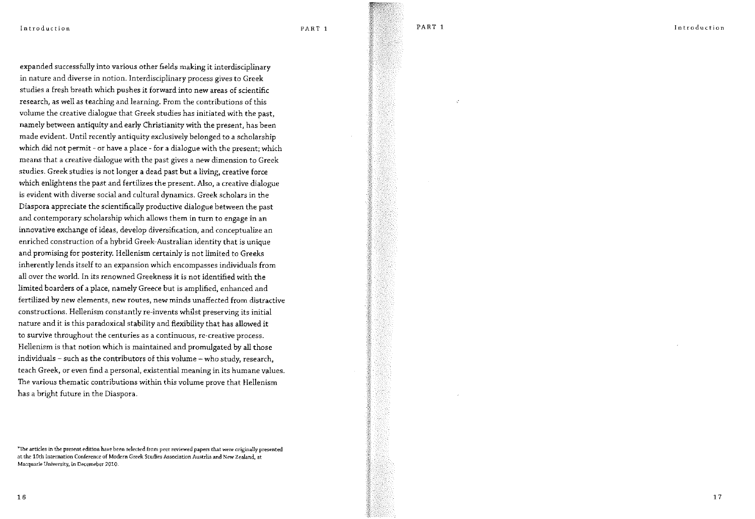expanded successfully into various other fields making it interdisciplinary in nature and diverse in notion. Interdisciplinary process gives to Greek studies a fresh breath which pushes it forward into new areas of scientific research, as well as teaching and learning. From the contributions of this volume the creative dialogue that Greek studies has initiated with the past. namely between antiquity and early Christianity with the present, has been made evident. Until recently antiquity exclusively belonged to a scholarship which did not permit - or have a place - for a dialogue with the present; which means that a creative dialogue with the past gives a new dimension to Greek studies. Greek studies is not longer a dead past but a living, creative force which enlightens the past and fertilizes the present. Also, a creative dialogue is evident with diverse social and cultural dynamics. Greek scholars in the Diaspora appreciate the scientifically productive dialogue between the past and contemporary scholarship which allows them in turn to engage in an innovative exchange of ideas, develop diversification, and conceptualize an enriched construction of a hybrid Greek-Australian identity that is unique and promising for posterity. Hellenism certainly is not limited to Greeks inherently lends itself to an expansion which encompasses individuals from all over the world. In its renowned Greekness it is not identified with the limited boarders of a place, namely Greece but is amplified, enhanced and fertilized by new elements, new routes, new minds unaffected from distractive constructions. Hellenism constantly re-invents whilst preserving its initial nature and it is this paradoxical stability and flexibility that has allowed it to survive throughout the centuries as a continuous, re-creative process. Hellenism is that notion which is maintained and promulgated by all those individuals - such as the contributors of this volume - who study, research, teach Greek, or even find a personal, existential meaning in its humane values. The various thematic contributions within this volume prove that Hellenism has a bright future in the Diaspora.

<sup>\*</sup>The articles in the present edition have been selected from peer reviewed papers that were originally presented at the 10th Internation Conference of Modern Greek Studies Association Austrlia and New Zealand, at Macquarie University, in Decemeber 2010.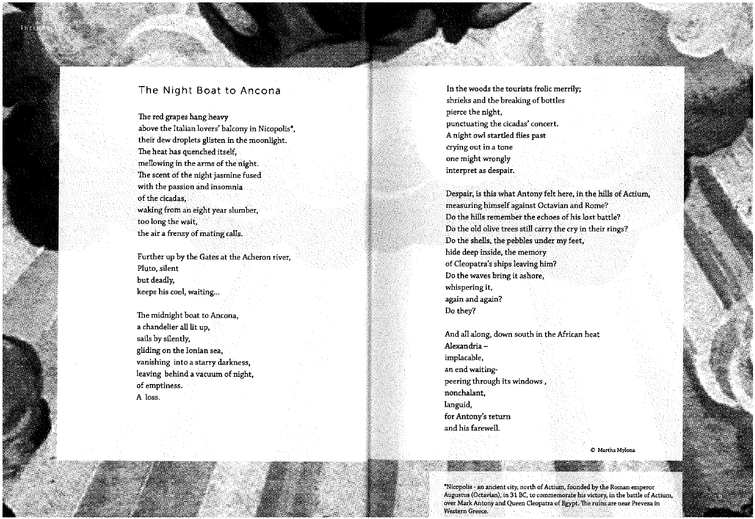# The Night Boat to Ancona

The red grapes hang heavy above the Italian lovers' balcony in Nicopolis\*, their dew droplets glisten in the moonlight. The heat has quenched itself, mellowing in the arms of the night. The scent of the night jasmine fused with the passion and insomnia. of the cicadas, waking from an eight year slumber, too long the wait. the air a frenzy of mating calls.

Further up by the Gates at the Acheron river, Pluto, silent but deadly, keeps his cool, waiting...

The midnight boat to Ancona, a chandelier all lit up, sails by silently, gliding on the Ionian sea, vanishing into a starry darkness. leaving behind a vacuum of night, of emptiness. A loss.

In the woods the tourists frolic merrily: shrieks and the breaking of bottles pierce the night, punctuating the cicadas' concert. A night owl startled flies past crying out in a tone one might wrongly interpret as despair.

Despair, is this what Antony felt here, in the hills of Actium, measuring himself against Octavian and Rome? Do the hills remember the echoes of his lost battle? Do the old olive trees still carry the cry in their rings? Do the shells, the pebbles under my feet, hide deep inside, the memory of Cleopatra's ships leaving him? Do the waves bring it ashore, whispering it, again and again? Do they?

And all along, down south in the African heat Alexandriaimplacable, an end waitingpeering through its windows, nonchalant, languid, for Antony's return and his farewell.

© Martha Mylona

\*Nicopolis - an ancient city, north of Actium, founded by the Roman emperor Augustus (Octavian), in 31 BC, to commemorate his victory, in the battle of Actium. over Mark Antony and Queen Cleopatra of Egypt. The ruins are near Preveza in Western Greece.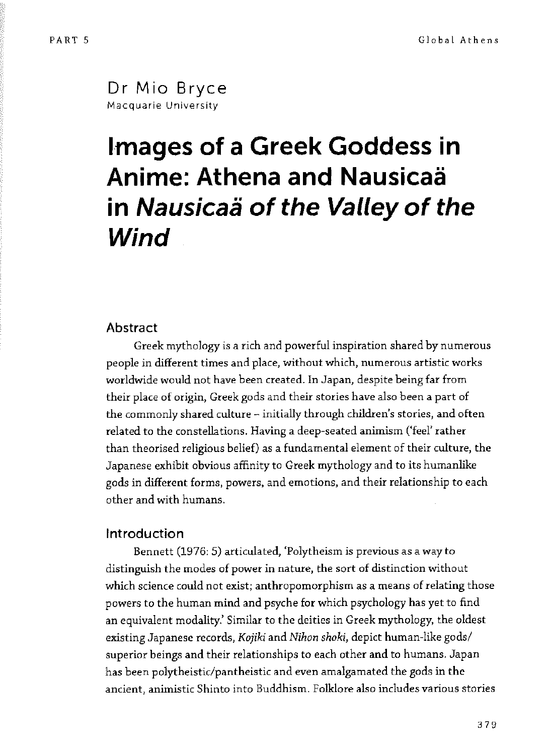Dr Mio Bryce Macquarie University

# **Images of a Greek Goddess in Anime: Athena and Nausicaa in Nausicaä of the Valley of the Wind**

# **Abstract**

Greek mythology is a rich and powerful inspiration shared by numerous people in different times and place, without which, numerous artistic works worldwide would not have been created. In Japan, despite being far from their place of origin, Greek gods and their stories have also been a part of the commonly shared culture - initially through children's stories, and often related to the constellations. Having a deep-seated animism ('feel' rather than theorised religious belief) as a fundamental element of their culture, the Japanese exhibit obvious affinity to Greek mythology and to its humanlike gods in different forms, powers, and emotions, and their relationship to each other and with humans.

# Introduction

Bennett (1976: 5) articulated, 'Polytheism is previous as a way to distinguish the modes of power in nature, the sort of distinction without which science could not exist; anthropomorphism as a means of relating those powers to the human mind and psyche for which psychology has yet to find an equivalent modality.' Similar to the deities in Greek mythology, the oldest existing Japanese records, *Kojiki* and *Nihon shoki,* depict human-like gods/ superior beings and their relationships to each other and to humans. Japan has been polytheistic/pantheistic and even amalgamated the gods in the ancient, animistic Shinto into Buddhism. Folklore also includes various stories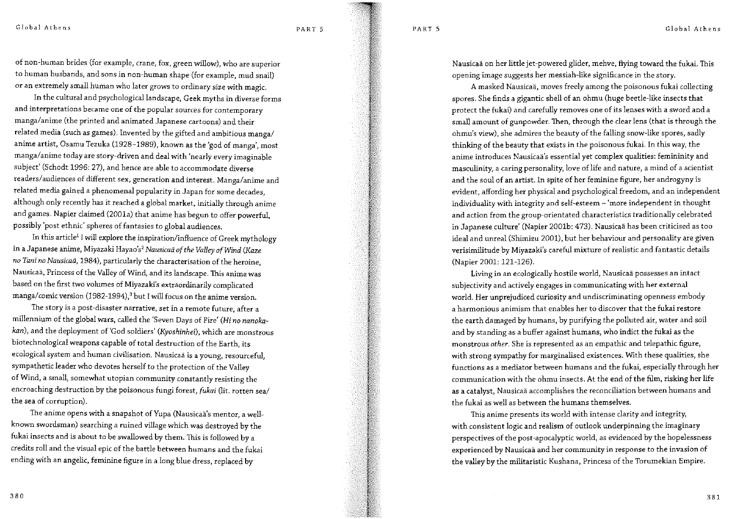PART 5

PART<sub>5</sub>

Global Athens

of non-human brides (for example, crane, fox, green willow), who are superior to human husbands, and sons in non-human shape (for example, mud snail) or an extremely small human who later grows to ordinary size with magic.

In the cultural and psychological landscape, Geek myths in diverse forms and interpretations became one of the popular sources for contemporary manga/anime (the printed and animated Japanese cartoons) and their related media (such as games). Invented by the gifted and ambitious manga/ anime artist, Osamu Tezuka (1928-1989), known as the 'god of manga', most manga/anime today are story-driven and deal with 'nearly every imaginable subject' (Schodt 1996: 27), and hence are able to accommodate diverse readers/audiences of different sex, generation and interest. Manga/anime and related media gained a phenomenal popularity in Japan for some decades. although only recently has it reached a global market, initially through anime and games. Napier claimed (2001a) that anime has begun to offer powerful, possibly 'post ethnic' spheres of fantasies to global audiences.

In this article<sup>1</sup> I will explore the inspiration/influence of Greek mythology in a Japanese anime, Miyazaki Hayao's<sup>2</sup> Nausicaä of the Valley of Wind (Kaze no Tani no Nausicaä, 1984), particularly the characterisation of the heroine. Nausicaä, Princess of the Valley of Wind, and its landscape. This anime was based on the first two volumes of Miyazaki's extraordinarily complicated manga/comic version (1982-1994),<sup>3</sup> but I will focus on the anime version.

The story is a post-disaster narrative, set in a remote future, after a millennium of the global wars, called the 'Seven Days of Fire' (Hi no nanokakan), and the deployment of 'God soldiers' (Kyoshinhei), which are monstrous biotechnological weapons capable of total destruction of the Earth, its ecological system and human civilisation. Nausicaä is a young, resourceful, sympathetic leader who devotes herself to the protection of the Valley of Wind, a small, somewhat utopian community constantly resisting the encroaching destruction by the poisonous fungi forest, fukai (lit. rotten sea/ the sea of corruption).

The anime opens with a snapshot of Yupa (Nausicaä's mentor, a wellknown swordsman) searching a ruined village which was destroyed by the fukai insects and is about to be swallowed by them. This is followed by a credits roll and the visual epic of the battle between humans and the fukai ending with an angelic, feminine figure in a long blue dress, replaced by

Nausicaä on her little jet-powered glider, mehve, flying toward the fukai. This opening image suggests her messiah-like significance in the story.

A masked Nausicaä, moves freely among the poisonous fukai collecting spores. She finds a gigantic shell of an ohmu (huge beetle-like insects that protect the fukai) and carefully removes one of its lenses with a sword and a small amount of gunpowder. Then, through the clear lens (that is through the ohmu's view), she admires the beauty of the falling snow-like spores, sadly thinking of the beauty that exists in the poisonous fukai. In this way, the anime introduces Nausicaä's essential yet complex qualities: femininity and masculinity, a caring personality, love of life and nature, a mind of a scientist and the soul of an artist. In spite of her feminine figure, her androgyny is evident, affording her physical and psychological freedom, and an independent individuality with integrity and self-esteem - 'more independent in thought and action from the group-orientated characteristics traditionally celebrated in Japanese culture' (Napier 2001b: 473). Nausicaä has been criticised as too ideal and unreal (Shimizu 2001), but her behaviour and personality are given verisimilitude by Miyazaki's careful mixture of realistic and fantastic details (Napier 2001: 121-126).

Living in an ecologically hostile world, Nausicaä possesses an intact subjectivity and actively engages in communicating with her external world. Her unprejudiced curiosity and undiscriminating openness embody a harmonious animism that enables her to discover that the fukai restore the earth damaged by humans, by purifying the polluted air, water and soil and by standing as a buffer against humans, who indict the fukai as the monstrous other. She is represented as an empathic and telepathic figure, with strong sympathy for marginalised existences. With these qualities, she functions as a mediator between humans and the fukai, especially through her communication with the ohmu insects. At the end of the film, risking her life as a catalyst, Nausicaä accomplishes the reconciliation between humans and the fukai as well as between the humans themselves.

This anime presents its world with intense clarity and integrity, with consistent logic and realism of outlook underpinning the imaginary perspectives of the post-apocalyptic world, as evidenced by the hopelessness experienced by Nausicaä and her community in response to the invasion of the valley by the militaristic Kushana, Princess of the Torumekian Empire.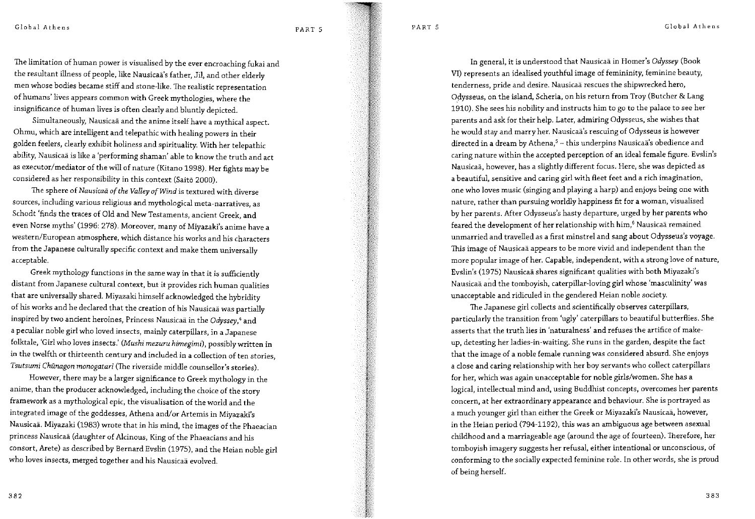PART 5

PART 5

Global Athens

The limitation of human power is visualised by the ever encroaching fukai and the resultant illness of people, like Nausicaä's father, Jil, and other elderly men whose bodies became stiff and stone-like. The realistic representation of humans' lives appears common with Greek mythologies, where the insignificance of human lives is often clearly and bluntly depicted.

Simultaneously, Nausicaä and the anime itself have a mythical aspect. Ohmu, which are intelligent and telepathic with healing powers in their golden feelers, clearly exhibit holiness and spirituality. With her telepathic ability, Nausicaä is like a 'performing shaman' able to know the truth and act as executor/mediator of the will of nature (Kitano 1998). Her fights may be considered as her responsibility in this context (Saitō 2000).

The sphere of Nausicaä of the Valley of Wind is textured with diverse sources, including various religious and mythological meta-narratives, as Schodt 'finds the traces of Old and New Testaments, ancient Greek, and even Norse myths' (1996: 278). Moreover, many of Miyazaki's anime have a western/European atmosphere, which distance his works and his characters from the Japanese culturally specific context and make them universally acceptable.

Greek mythology functions in the same way in that it is sufficiently distant from Japanese cultural context, but it provides rich human qualities that are universally shared. Miyazaki himself acknowledged the hybridity of his works and he declared that the creation of his Nausicaä was partially inspired by two ancient heroines, Princess Nausicaä in the Odyssey,<sup>4</sup> and a peculiar noble girl who loved insects, mainly caterpillars, in a Japanese folktale, 'Girl who loves insects.' (Mushi mezuru himegimi), possibly written in in the twelfth or thirteenth century and included in a collection of ten stories, Tsutsumi Chünagon monogatari (The riverside middle counsellor's stories).

However, there may be a larger significance to Greek mythology in the anime, than the producer acknowledged, including the choice of the story framework as a mythological epic, the visualisation of the world and the integrated image of the goddesses, Athena and/or Artemis in Miyazaki's Nausicaä. Miyazaki (1983) wrote that in his mind, the images of the Phaeacian princess Nausicaä (daughter of Alcinous, King of the Phaeacians and his consort, Arete) as described by Bernard Evslin (1975), and the Heian noble girl who loves insects, merged together and his Nausicaä evolved.

In general, it is understood that Nausicaä in Homer's Odyssey (Book VI) represents an idealised vouthful image of femininity, feminine beauty, tenderness, pride and desire. Nausicaä rescues the shipwrecked hero, Odysseus, on the island, Scheria, on his return from Troy (Butcher & Lang 1910). She sees his nobility and instructs him to go to the palace to see her parents and ask for their help. Later, admiring Odysseus, she wishes that he would stay and marry her. Nausicaä's rescuing of Odysseus is however directed in a dream by Athena,<sup>5</sup> - this underpins Nausicaä's obedience and caring nature within the accepted perception of an ideal female figure. Evslin's Nausicaä, however, has a slightly different focus. Here, she was depicted as a beautiful, sensitive and caring girl with fleet feet and a rich imagination, one who loves music (singing and playing a harp) and enjoys being one with nature, rather than pursuing worldly happiness fit for a woman, visualised by her parents. After Odysseus's hasty departure, urged by her parents who feared the development of her relationship with him,<sup>6</sup> Nausicaä remained unmarried and travelled as a first minstrel and sang about Odysseus's voyage. This image of Nausicaä appears to be more vivid and independent than the more popular image of her. Capable, independent, with a strong love of nature, Evslin's (1975) Nausicaä shares significant qualities with both Miyazaki's Nausicaä and the tomboyish, caterpillar-loving girl whose 'masculinity' was unacceptable and ridiculed in the gendered Heian noble society.

The Japanese girl collects and scientifically observes caterpillars, particularly the transition from 'ugly' caterpillars to beautiful butterflies. She asserts that the truth lies in 'naturalness' and refuses the artifice of makeup, detesting her ladies-in-waiting. She runs in the garden, despite the fact that the image of a noble female running was considered absurd. She enjoys a close and caring relationship with her boy servants who collect caterpillars for her, which was again unacceptable for noble girls/women. She has a logical, intellectual mind and, using Buddhist concepts, overcomes her parents concern, at her extraordinary appearance and behaviour. She is portrayed as a much younger girl than either the Greek or Miyazaki's Nausicaä, however, in the Heian period (794-1192), this was an ambiguous age between asexual childhood and a marriageable age (around the age of fourteen). Therefore, her tomboyish imagery suggests her refusal, either intentional or unconscious, of conforming to the socially expected feminine role. In other words, she is proud of being herself.

382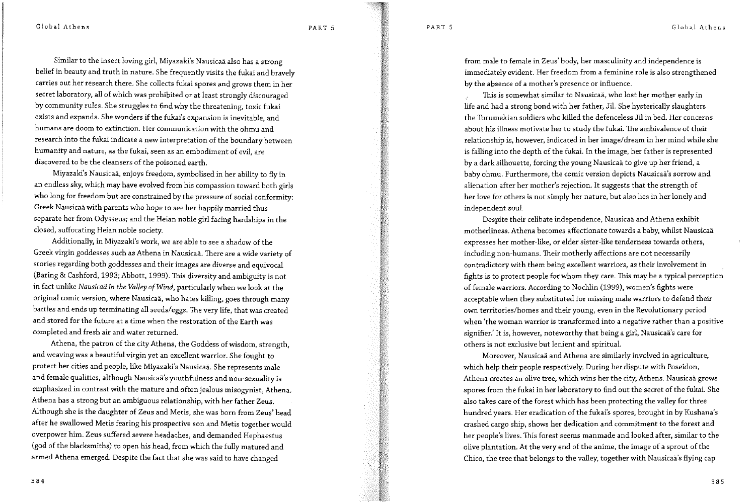PART<sub>5</sub>

Global Athens

Similar to the insect loving girl, Miyazaki's Nausicaä also has a strong belief in beauty and truth in nature. She frequently visits the fukai and bravely carries out her research there. She collects fukai spores and grows them in her secret laboratory, all of which was prohibited or at least strongly discouraged by community rules. She struggles to find why the threatening, toxic fukai exists and expands. She wonders if the fukai's expansion is inevitable, and humans are doom to extinction. Her communication with the ohmu and research into the fukai indicate a new interpretation of the boundary between humanity and nature, as the fukai, seen as an embodiment of evil. are discovered to be the cleansers of the poisoned earth.

Miyazaki's Nausicaä, enjoys freedom, symbolised in her ability to fly in an endless sky, which may have evolved from his compassion toward both girls who long for freedom but are constrained by the pressure of social conformity: Greek Nausicaä with parents who hope to see her happily married thus separate her from Odysseus; and the Heian noble girl facing hardships in the closed, suffocating Heian noble society.

Additionally, in Miyazaki's work, we are able to see a shadow of the Greek virgin goddesses such as Athena in Nausicaä. There are a wide variety of stories regarding both goddesses and their images are diverse and equivocal (Baring & Cashford, 1993; Abbott, 1999). This diversity and ambiguity is not in fact unlike Nausicaä in the Valley of Wind, particularly when we look at the original comic version, where Nausicaä, who hates killing, goes through many battles and ends up terminating all seeds/eggs. The very life, that was created and stored for the future at a time when the restoration of the Earth was completed and fresh air and water returned.

Athena, the patron of the city Athens, the Goddess of wisdom, strength, and weaving was a beautiful virgin yet an excellent warrior. She fought to protect her cities and people, like Miyazaki's Nausicaä. She represents male and female qualities, although Nausicaä's youthfulness and non-sexuality is emphasized in contrast with the mature and often jealous misogynist, Athena. Athena has a strong but an ambiguous relationship, with her father Zeus. Although she is the daughter of Zeus and Metis, she was born from Zeus' head after he swallowed Metis fearing his prospective son and Metis together would overpower him. Zeus suffered severe headaches, and demanded Hephaestus (god of the blacksmiths) to open his head, from which the fully matured and armed Athena emerged. Despite the fact that she was said to have changed

from male to female in Zeus' body, her masculinity and independence is immediately evident. Her freedom from a feminine role is also strengthened by the absence of a mother's presence or influence.

This is somewhat similar to Nausicaä, who lost her mother early in life and had a strong bond with her father, Jil. She hysterically slaughters the Torumekian soldiers who killed the defenceless Jil in bed. Her concerns about his illness motivate her to study the fukai. The ambivalence of their relationship is, however, indicated in her image/dream in her mind while she is falling into the depth of the fukai. In the image, her father is represented by a dark silhouette, forcing the young Nausicaä to give up her friend, a baby ohmu. Furthermore, the comic version depicts Nausicaä's sorrow and alienation after her mother's rejection. It suggests that the strength of her love for others is not simply her nature, but also lies in her lonely and independent soul.

Despite their celibate independence, Nausicaä and Athena exhibit motherliness. Athena becomes affectionate towards a baby, whilst Nausicaä expresses her mother-like, or elder sister-like tenderness towards others, including non-humans. Their motherly affections are not necessarily contradictory with them being excellent warriors, as their involvement in fights is to protect people for whom they care. This may be a typical perception of female warriors. According to Nochlin (1999), women's fights were acceptable when they substituted for missing male warriors to defend their own territories/homes and their young, even in the Revolutionary period when 'the woman warrior is transformed into a negative rather than a positive signifier.' It is, however, noteworthy that being a girl, Nausicaä's care for others is not exclusive but lenient and spiritual.

Moreover, Nausicaä and Athena are similarly involved in agriculture, which help their people respectively. During her dispute with Poseidon, Athena creates an olive tree, which wins her the city, Athens. Nausicaä grows spores from the fukai in her laboratory to find out the secret of the fukai. She also takes care of the forest which has been protecting the valley for three hundred years. Her eradication of the fukai's spores, brought in by Kushana's crashed cargo ship, shows her dedication and commitment to the forest and her people's lives. This forest seems manmade and looked after, similar to the olive plantation. At the very end of the anime, the image of a sprout of the Chico, the tree that belongs to the valley, together with Nausicaä's flying cap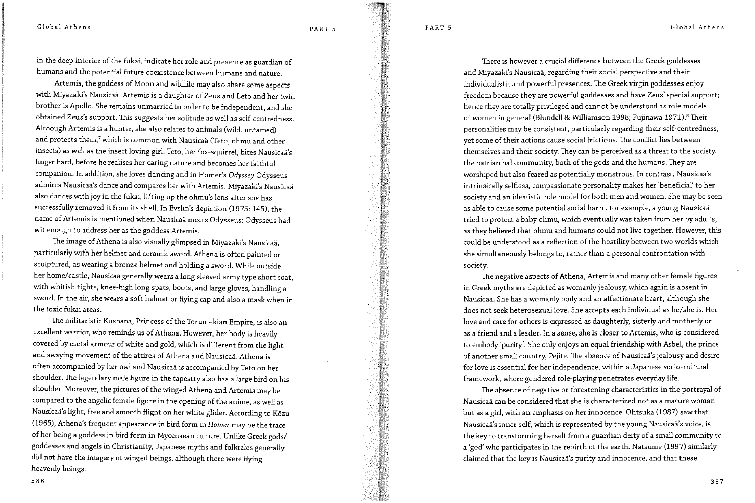PART<sub>5</sub>

PART<sub>5</sub>

Global Athens

in the deep interior of the fukai, indicate her role and presence as guardian of humans and the potential future coexistence between humans and nature.

Artemis, the goddess of Moon and wildlife may also share some aspects with Miyazaki's Nausicaä. Artemis is a daughter of Zeus and Leto and her twin brother is Apollo. She remains unmarried in order to be independent, and she obtained Zeus's support. This suggests her solitude as well as self-centredness. Although Artemis is a hunter, she also relates to animals (wild, untamed) and protects them,<sup>7</sup> which is common with Nausicaä (Teto, ohmu and other insects) as well as the insect loving girl. Teto, her fox-squirrel, bites Nausicaä's finger hard, before he realises her caring nature and becomes her faithful companion. In addition, she loves dancing and in Homer's Odyssey Odysseus admires Nausicaä's dance and compares her with Artemis. Miyazaki's Nausicaä also dances with joy in the fukai, lifting up the ohmu's lens after she has successfully removed it from its shell. In Evslin's depiction (1975: 145), the name of Artemis is mentioned when Nausicaä meets Odysseus: Odysseus had wit enough to address her as the goddess Artemis.

The image of Athena is also visually glimpsed in Miyazaki's Nausicaä, particularly with her helmet and ceramic sword. Athena is often painted or sculptured, as wearing a bronze helmet and holding a sword. While outside her home/castle, Nausicaä generally wears a long sleeved army type short coat, with whitish tights, knee-high long spats, boots, and large gloves, handling a sword. In the air, she wears a soft helmet or flying cap and also a mask when in the toxic fukai areas.

The militaristic Kushana, Princess of the Torumekian Empire, is also an excellent warrior, who reminds us of Athena. However, her body is heavily covered by metal armour of white and gold, which is different from the light and swaying movement of the attires of Athena and Nausicaä. Athena is often accompanied by her owl and Nausicaä is accompanied by Teto on her shoulder. The legendary male figure in the tapestry also has a large bird on his shoulder. Moreover, the pictures of the winged Athena and Artemis may be compared to the angelic female figure in the opening of the anime, as well as Nausicaä's light, free and smooth flight on her white glider. According to Közu (1965), Athena's frequent appearance in bird form in Homer may be the trace of her being a goddess in bird form in Mycenaean culture. Unlike Greek gods/ goddesses and angels in Christianity, Japanese myths and folktales generally did not have the imagery of winged beings, although there were flying heavenly beings.

There is however a crucial difference between the Greek goddesses and Miyazaki's Nausicaä, regarding their social perspective and their individualistic and powerful presences. The Greek virgin goddesses enjoy freedom because they are powerful goddesses and have Zeus' special support; hence they are totally privileged and cannot be understood as role models of women in general (Blundell & Williamson 1998; Fujinawa 1971).<sup>8</sup> Their personalities may be consistent, particularly regarding their self-centredness, yet some of their actions cause social frictions. The conflict lies between themselves and their society. They can be perceived as a threat to the society, the patriarchal community, both of the gods and the humans. They are worshiped but also feared as potentially monstrous. In contrast, Nausicaä's intrinsically selfless, compassionate personality makes her 'beneficial' to her society and an idealistic role model for both men and women. She may be seen as able to cause some potential social harm, for example, a young Nausicaä tried to protect a baby ohmu, which eventually was taken from her by adults, as they believed that ohmu and humans could not live together. However, this could be understood as a reflection of the hostility between two worlds which she simultaneously belongs to, rather than a personal confrontation with society.

The negative aspects of Athena, Artemis and many other female figures in Greek myths are depicted as womanly jealousy, which again is absent in Nausicaä. She has a womanly body and an affectionate heart, although she does not seek heterosexual love. She accepts each individual as he/she is. Her love and care for others is expressed as daughterly, sisterly and motherly or as a friend and a leader. In a sense, she is closer to Artemis, who is considered to embody 'purity'. She only enjoys an equal friendship with Asbel, the prince of another small country, Pejite. The absence of Nausicaä's jealousy and desire for love is essential for her independence, within a Japanese socio-cultural framework, where gendered role-playing penetrates everyday life.

The absence of negative or threatening characteristics in the portrayal of Nausicaä can be considered that she is characterized not as a mature woman but as a girl, with an emphasis on her innocence. Ohtsuka (1987) saw that Nausicaä's inner self, which is represented by the young Nausicaä's voice, is the key to transforming herself from a guardian deity of a small community to a 'god' who participates in the rebirth of the earth. Natsume (1997) similarly claimed that the key is Nausicaä's purity and innocence, and that these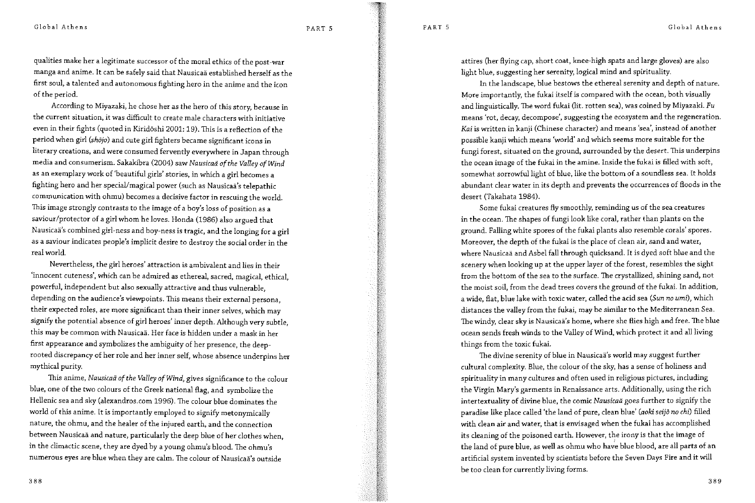qualities make her a legitimate successor of the moral ethics of the post-war manga and anime. It can be safely said that Nausicaä established herself as the first soul, a talented and autonomous fighting hero in the anime and the icon of the period.

According to Mivazaki, he chose her as the hero of this story, because in the current situation, it was difficult to create male characters with initiative even in their fights (quoted in Kiridöshi 2001: 19). This is a reflection of the period when girl (shojo) and cute girl fighters became significant icons in literary creations, and were consumed fervently everywhere in Japan through media and consumerism. Sakakibra (2004) saw Nausicaä of the Valley of Wind as an exemplary work of 'beautiful girls' stories, in which a girl becomes a fighting hero and her special/magical power (such as Nausicaä's telepathic communication with ohmu) becomes a decisive factor in rescuing the world. This image strongly contrasts to the image of a boy's loss of position as a saviour/protector of a girl whom he loves. Honda (1986) also argued that Nausicaä's combined girl-ness and boy-ness is tragic, and the longing for a girl as a saviour indicates people's implicit desire to destroy the social order in the real world.

Nevertheless, the girl heroes' attraction is ambivalent and lies in their 'innocent cuteness', which can be admired as ethereal, sacred, magical, ethical, powerful, independent but also sexually attractive and thus vulnerable, depending on the audience's viewpoints. This means their external persona, their expected roles, are more significant than their inner selves, which may signify the potential absence of girl heroes' inner depth. Although very subtle, this may be common with Nausicaä. Her face is hidden under a mask in her first appearance and symbolizes the ambiguity of her presence, the deeprooted discrepancy of her role and her inner self, whose absence underpins her mythical purity.

This anime, Nausicaä of the Valley of Wind, gives significance to the colour blue, one of the two colours of the Greek national flag, and symbolize the Hellenic sea and sky (alexandros.com 1996). The colour blue dominates the world of this anime. It is importantly employed to signify metonymically nature, the ohmu, and the healer of the injured earth, and the connection between Nausicaä and nature, particularly the deep blue of her clothes when, in the climactic scene, they are dyed by a young ohmu's blood. The ohmu's numerous eyes are blue when they are calm. The colour of Nausicaä's outside

attires (her flying cap, short coat, knee-high spats and large gloves) are also light blue, suggesting her serenity, logical mind and spirituality.

In the landscape, blue bestows the ethereal serenity and depth of nature. More importantly, the fukai itself is compared with the ocean, both visually and linguistically. The word fukai (lit. rotten sea), was coined by Miyazaki. Fu means 'rot, decay, decompose', suggesting the ecosystem and the regeneration. Kai is written in kanji (Chinese character) and means 'sea', instead of another possible kanji which means 'world' and which seems more suitable for the fungi forest, situated on the ground, surrounded by the desert. This underpins the ocean image of the fukai in the amine. Inside the fukai is filled with soft, somewhat sorrowful light of blue, like the bottom of a soundless sea. It holds abundant clear water in its depth and prevents the occurrences of floods in the desert (Takahata 1984).

Some fukai creatures fly smoothly, reminding us of the sea creatures in the ocean. The shapes of fungi look like coral, rather than plants on the ground. Falling white spores of the fukai plants also resemble corals' spores. Moreover, the depth of the fukai is the place of clean air, sand and water, where Nausicaä and Asbel fall through quicksand. It is dyed soft blue and the scenery when looking up at the upper layer of the forest, resembles the sight from the bottom of the sea to the surface. The crystallized, shining sand, not the moist soil, from the dead trees covers the ground of the fukai. In addition, a wide, flat, blue lake with toxic water, called the acid sea (Sun no umi), which distances the valley from the fukai, may be similar to the Mediterranean Sea. The windy, clear sky is Nausicaä's home, where she flies high and free. The blue ocean sends fresh winds to the Valley of Wind, which protect it and all living things from the toxic fukai.

The divine serenity of blue in Nausicaä's world may suggest further cultural complexity. Blue, the colour of the sky, has a sense of holiness and spirituality in many cultures and often used in religious pictures, including the Virgin Mary's garments in Renaissance arts. Additionally, using the rich intertextuality of divine blue, the comic Nausicaä goes further to signify the paradise like place called 'the land of pure, clean blue' (aoki seijo no chi) filled with clean air and water, that is envisaged when the fukai has accomplished its cleaning of the poisoned earth. However, the irony is that the image of the land of pure blue, as well as ohmu who have blue blood, are all parts of an artificial system invented by scientists before the Seven Days Fire and it will be too clean for currently living forms.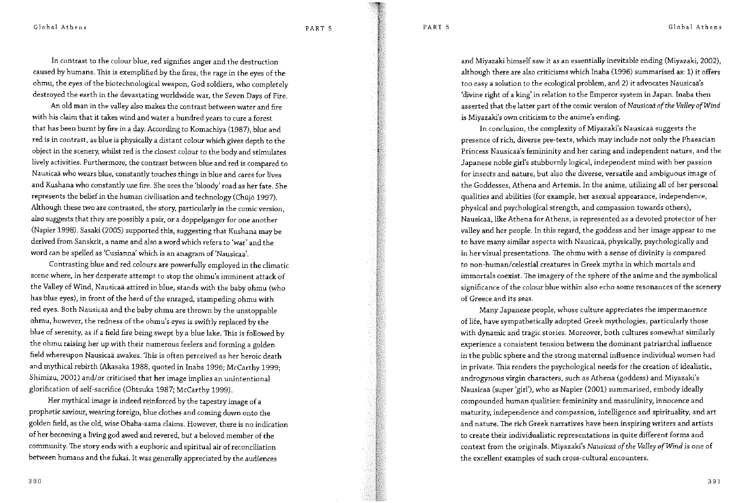PART 5

Global Athens

In contrast to the colour blue, red signifies anger and the destruction caused by humans. This is exemplified by the fires, the rage in the eyes of the ohmu, the eyes of the biotechnological weapon, God soldiers, who completely destroyed the earth in the devastating worldwide war, the Seven Days of Fire.

An old man in the valley also makes the contrast between water and fire with his claim that it takes wind and water a hundred vears to cure a forest that has been burnt by fire in a day. According to Komachiya (1987), blue and red is in contrast, as blue is physically a distant colour which gives depth to the object in the scenery, whilst red is the closest colour to the body and stimulates lively activities. Furthermore, the contrast between blue and red is compared to Nausicaä who wears blue, constantly touches things in blue and cares for lives and Kushana who constantly use fire. She sees the 'bloody' road as her fate. She represents the belief in the human civilisation and technology (Chûjō 1997). Although these two are contrasted, the story, particularly in the comic version, also suggests that they are possibly a pair, or a doppelganger for one another (Napier 1998). Sasaki (2005) supported this, suggesting that Kushana may be derived from Sanskrit, a name and also a word which refers to 'war' and the word can be spelled as 'Cusianna' which is an anagram of 'Nausicaa'.

Contrasting blue and red colours are powerfully employed in the climatic scene where, in her desperate attempt to stop the ohmu's imminent attack of the Valley of Wind, Nausicaä attired in blue, stands with the baby ohmu (who has blue eyes), in front of the herd of the enraged, stampeding ohmu with red eyes. Both Nausicaä and the baby ohmu are thrown by the unstoppable ohmu, however, the redness of the ohmu's eyes is swiftly replaced by the blue of serenity, as if a field fire being swept by a blue lake. This is followed by the ohmu raising her up with their numerous feelers and forming a golden field whereupon Nausicaä awakes. This is often perceived as her heroic death and mythical rebirth (Akasaka 1988, quoted in Inaba 1996; McCarthy 1999; Shimizu, 2001) and/or criticised that her image implies an unintentional glorification of self-sacrifice (Ohtsuka 1987; McCarthy 1999).

Her mythical image is indeed reinforced by the tapestry image of a prophetic saviour, wearing foreign, blue clothes and coming down onto the golden field, as the old, wise Obaba-sama claims. However, there is no indication of her becoming a living god awed and revered, but a beloved member of the community. The story ends with a euphoric and spiritual air of reconciliation between humans and the fukai. It was generally appreciated by the audiences

and Miyazaki himself saw it as an essentially inevitable ending (Miyazaki, 2002), although there are also criticisms which Inaba (1996) summarised as: 1) it offers too easy a solution to the ecological problem, and 2) it advocates Nausicaä's 'divine right of a king' in relation to the Emperor system in Japan. Inaba then asserted that the latter part of the comic version of Nausicaä of the Vallev of Wind is Miyazaki's own criticism to the anime's ending.

In conclusion, the complexity of Miyazaki's Nausicaä suggests the presence of rich, diverse pre-texts, which may include not only the Phaeacian Princess Nausicaä's femininity and her caring and independent nature, and the Japanese noble girl's stubbornly logical, independent mind with her passion for insects and nature, but also the diverse, versatile and ambiguous image of the Goddesses, Athena and Artemis. In the anime, utilizing all of her personal qualities and abilities (for example, her asexual appearance, independence, physical and psychological strength, and compassion towards others), Nausicaä, like Athena for Athens, is represented as a devoted protector of her valley and her people. In this regard, the goddess and her image appear to me to have many similar aspects with Nausicaä, physically, psychologically and in her visual presentations. The ohmu with a sense of divinity is compared to non-human/celestial creatures in Greek myths in which mortals and immortals coexist. The imagery of the sphere of the anime and the symbolical significance of the colour blue within also echo some resonances of the scenery of Greece and its seas.

Many Japanese people, whose culture appreciates the impermanence of life, have sympathetically adopted Greek mythologies, particularly those with dynamic and tragic stories. Moreover, both cultures somewhat similarly experience a consistent tension between the dominant patriarchal influence in the public sphere and the strong maternal influence individual women had in private. This renders the psychological needs for the creation of idealistic, androgynous virgin characters, such as Athena (goddess) and Miyazaki's Nausicaä (super 'girl'), who as Napier (2001) summarised, embody ideally compounded human qualities: femininity and masculinity, innocence and maturity, independence and compassion, intelligence and spirituality, and art and nature. The rich Greek narratives have been inspiring writers and artists to create their individualistic representations in quite different forms and context from the originals. Miyazaki's Nausicaä of the Valley of Wind is one of the excellent examples of such cross-cultural encounters.

390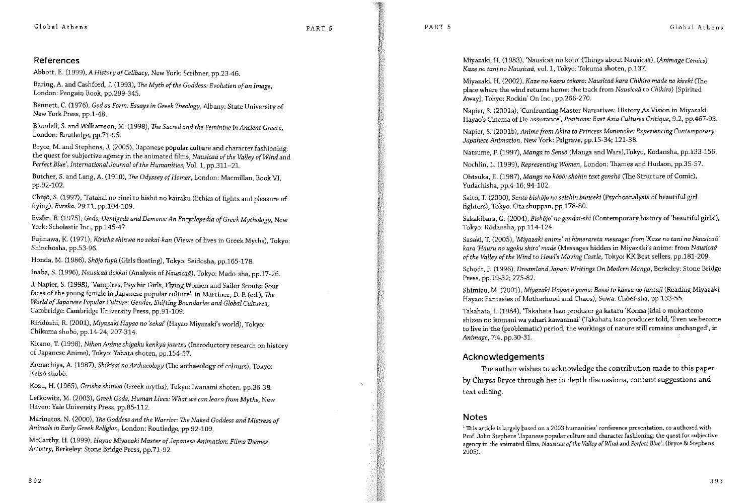# References

Abbott. E. (1999). A History of Celibacy, New York: Scribner, pp.23-46.

Baring, A. and Cashford, J. (1993), The Myth of the Goddess: Evolution of an Image, London: Penguin Book, pp.299-345.

Bennett, C. (1976), God as Form: Essays in Greek Theology, Albany: State University of New York Press, pp.1-48.

Blundell, S. and Williamson, M. (1998), The Sacred and the Feminine in Ancient Greece, London: Routledge, pp.71-95.

Bryce, M. and Stephens, J. (2005), 'Japanese popular culture and character fashioning: the quest for subjective agency in the animated films, Nausicaä of the Valley of Wind and Perfect Blue', International Journal of the Humanities, Vol. 1, pp.311-21.

Butcher, S. and Lang, A. (1910), The Odyssey of Homer, London: Macmillan, Book VI, pp.92-102.

Chūjō, S. (1997), 'Tatakai no rinri to hisho no kairaku (Ethics of fights and pleasure of flying), Eureka, 29:11, pp.104-109.

Evslin, B. (1975), Gods, Demigods and Demons: An Encyclopedia of Greek Mythology, New York: Scholastic Inc., pp.145-47.

Fujinawa, K. (1971), Kirisha shinwa no sekai-kan (Views of lives in Greek Myths), Tokyo: Shinchōsha, pp.53-96.

Honda, M. (1986), Shōjo fuyû (Girls floating), Tokyo: Seidosha, pp.165-178.

Inaba, S. (1996), Nausicaä dokkai (Analysis of Nausicaä), Tokyo: Mado-sha, pp.17-26.

J. Napier, S. (1998), 'Vampires, Psychic Girls, Flying Women and Sailor Scouts: Four faces of the young female in Japanese popular culture', in Martinez, D. P. (ed.), The World of Japanese Popular Culture: Gender, Shifting Boundaries and Global Cultures, Cambridge: Cambridge University Press, pp.91-109.

Kiridōshi, R. (2001), Miyazaki Hayao no 'sekai' (Hayao Miyazaki's world), Tokyo: Chikuma shobó, pp.14-24; 207-314.

Kitano, T. (1998), Nihon Anime shigaku kenkyū josetsu (Introductory research on history of Japanese Anime), Tokyo: Yahata shoten, pp.154-57.

Komachiya, A. (1987), Shikisai no Archaeology (The archaeology of colours), Tokyo: Keiso shobō.

Kôzu, H. (1965), Gírisha shinwa (Greek myths), Tokyo: Iwanami shoten, pp.36-38.

Lefkowitz, M. (2003), Greek Gods, Human Lives: What we can learn from Myths, New Haven: Yale University Press, pp.85-112.

Marinatos, N. (2000), The Goddess and the Warrior: The Naked Goddess and Mistress of Animals in Early Greek Religion, London: Routledge, pp.92-109.

McCarthy, H. (1999), Hayao Miyazaki Master of Japanese Animation: Films Themes Artistry, Berkeley: Stone Bridge Press, pp.71-92.

Miyazaki, H. (1983), 'Nausicaä no koto' (Things about Nausicaä), (Animage Comics) Kaze no tani no Nausicaă, vol. 1, Tokvo: Tokuma shoten, p.137.

Miyazaki, H. (2002), Kaze no kaeru tokoro: Nausicaä kara Chihiro made no kiseki (The place where the wind returns home: the track from Nausicaä to Chihiro) [Spirited Awayl, Tokyo: Rockin' On Inc., pp.266-270.

Napier, S. (2001a). 'Confronting Master Narratives: History As Vision in Miyazaki Havao's Cinema of De-assurance', Positions: East Asia Cultures Critique, 9.2, pp.467-93.

Napier, S. (2001b), Anime from Akira to Princess Mononoke: Experiencing Contemporary Japanese Animation, New York: Palgrave, pp.15-34; 121-38.

Natsume, F. (1997). Manga to Sensō (Manga and Wars), Tokyo, Ködansha, pp.133-156.

Nochlin, L. (1999), Representing Women, London: Thames and Hudson, pp.35-57.

Ohtsuka, E. (1987), Manga no közö: shōhin text genshō (The Structure of Comic), Yudachisha, pp.4-16; 94-102.

Saitō, T. (2000), Sentō bishōjo no seishin bunseki (Psychoanalysis of beautiful girl fighters). Tokyo: Ōta shuppan, pp.178-80.

Sakakibara, G. (2004), Bishōjo' no gendai-shi (Contemporary history of 'beautiful girls'), Tokyo: Ködansha, pp.114-124.

Sasaki, T. (2005), 'Mivazaki anime' ni himerareta message: from 'Kaze no tani no Nausicaä' kara 'Hauru no ugoku shiro' made (Messages hidden in Miyazaki's anime: from Nausicaä of the Valley of the Wind to Howl's Moving Castle, Tokyo: KK Best sellers, pp.181-209.

Schodt, F. (1996), Dreamland Japan: Writings On Modern Manga, Berkeley: Stone Bridge Press, pp.19-32; 275-82.

Shimizu, M. (2001), Miyazaki Hayao o yomu: Bosei to kaosu no fantajî (Reading Miyazaki Havao: Fantasies of Motherhood and Chaos), Suwa: Chōei-sha, pp.133-55.

Takahata, I. (1984), 'Takahata Isao producer ga kataru 'Konna jidai o mukaetemo shizen no itomani wa vahari kawaranai' (Takahata Isao producer told, 'Even we become to live in the (problematic) period, the workings of nature still remains unchanged', in Animage, 7:4, pp.30-31.

# Acknowledgements

The author wishes to acknowledge the contribution made to this paper by Chryss Bryce through her in depth discussions, content suggestions and text editing.

# **Notes**

<sup>1</sup> This article is largely based on a 2003 humanities' conference presentation, co-authored with Prof. John Stephens 'Japanese popular culture and character fashioning: the quest for subjective agency in the animated films, Nausicaä of the Valley of Wind and Perfect Blue', (Bryce & Stephens  $2005$ ).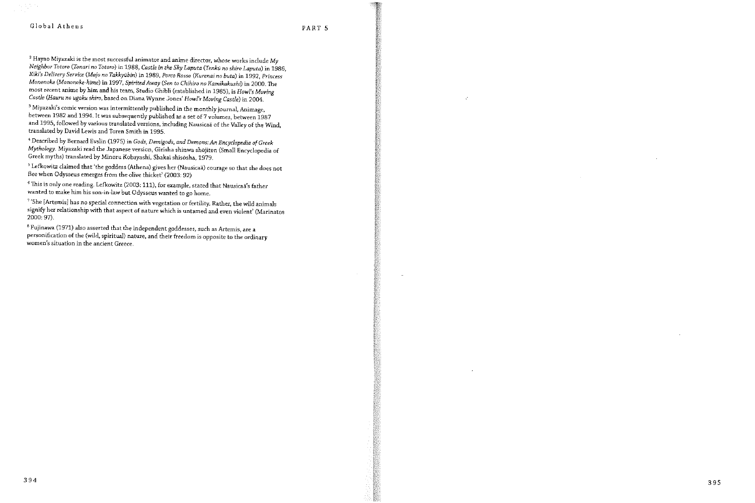$^2$  Hayao Miyazaki is the most successful animator and anime director, whose works include My Neighbor Totoro (Tonari no Totoro) in 1988, Castle in the Sky Laputa (Tenkū no shiro Laputa) in 1986, Kiki's Delivery Service (Majo no Takkyūbin) in 1989, Porco Rosso (Kurenai no buta) in 1992, Princess Mononoke (Mononoke-hime) in 1997, Spirited Away (Sen to Chihiro no Kamikakushi) in 2000. The most recent anime by him and his team, Studio Ghibli (established in 1985), is Howl's Moving Castle (Hauru no ugoku shiro, based on Diana Wynne Jones' Howl's Moving Castle) in 2004.

<sup>3</sup> Miyazaki's comic version was intermittently published in the monthly journal, Animage, between 1982 and 1994. It was subsequently published as a set of 7 volumes, between 1987 and 1995, followed by various translated versions, including Nausicaä of the Valley of the Wind. translated by David Lewis and Toren Smith in 1995.

<sup>4</sup> Described by Bernard Evslin (1975) in Gods, Demigods, and Demons: An Encyclopedia of Greek Mythology. Miyazaki read the Japanese version, Girisha shinwa shōjiten (Small Encyclopedia of Greek myths) translated by Minoru Kobayashi, Shakai shisosha, 1979.

<sup>5</sup> Lefkowitz claimed that 'the goddess (Athena) gives her (Nausicaä) courage so that she does not flee when Odysseus emerges from the olive thicket' (2003: 92)

<sup>6</sup> This is only one reading. Lefkowitz (2003: 111), for example, stated that Nausicaä's father wanted to make him his son-in-law but Odysseus wanted to go home.

<sup>7</sup> 'She [Artemis] has no special connection with vegetation or fertility. Rather, the wild animals signify her relationship with that aspect of nature which is untamed and even violent' (Marinatos 2000: 97).

<sup>8</sup> Fujinawa (1971) also asserted that the independent goddesses, such as Artemis, are a personification of the (wild, spiritual) nature, and their freedom is opposite to the ordinary women's situation in the ancient Greece.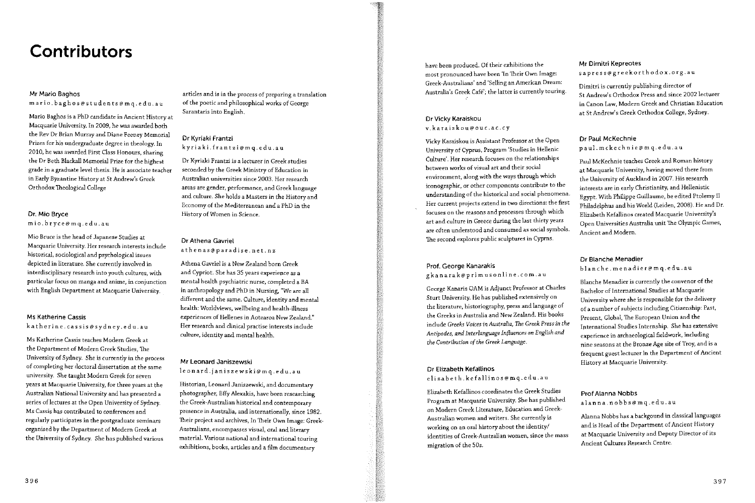# **Contributors**

## Mr Mario Baghos

mario.baghos@students@mq.edu.au

Mario Baghos is a PhD candidate in Ancient History at Macquarie University, In 2009, he was awarded both the Rev Dr Brian Murray and Diane Feeney Memorial Prizes for his undergraduate degree in theology. In 2010, he was awarded First Class Honours, sharing the Dr Beth Blackall Memorial Prize for the highest grade in a graduate level thesis. He is associate teacher in Early Byzantine History at St Andrew's Greek Orthodox Theological College

### Dr. Mio Bryce

mio.bryce@mq.edu.au

Mio Bruce is the head of Japanese Studies at Macquarie University. Her research interests include historical, sociological and psychological issues depicted in literature. She currently involved in interdisciplinary research into youth cultures, with particular focus on manga and anime, in conjunction with English Department at Macquarie University.

# Ms Katherine Cassis

katherine.cassis@sydney.edu.au

Ms Katherine Cassis teaches Modern Greek at the Department of Modern Greek Studies. The University of Sydney. She is currently in the process of completing her doctoral dissertation at the same university. She taught Modern Greek for seven years at Macquarie University, for three years at the Australian National University and has presented a series of lectures at the Open University of Sydney. Ms Cassis has contributed to conferences and regularly participates in the postgraduate seminars organised by the Department of Modern Greek at the University of Sydney. She has published various

articles and is in the process of preparing a translation of the poetic and philosophical works of George Sarantaris into English.

# Dr Kyriaki Frantzi

kyriaki.frantzi@mq.edu.au

Dr Kyriaki Frantzi is a lecturer in Greek studies seconded by the Greek Ministry of Education in Australian universities since 2003. Her research areas are gender, performance, and Greek language and culture. She holds a Masters in the History and Economy of the Mediterranean and a PhD in the History of Women in Science.

### Dr Athena Gavriel athenas@paradise.net.nz

Athena Gavriel is a New Zealand born Greek and Cypriot. She has 35 years experience as a mental health psychiatric nurse, completed a BA in anthropology and PhD in Nursing, "We are all different and the same. Culture, identity and mental health: Worldviews, wellbeing and health-illness experiences of Hellenes in Aotearoa New Zealand," Her research and clinical practise interests include culture, identity and mental health.

### Mr Leonard Janiszewski

leonard.janiszewski@mq.edu.au

Historian, Leonard Janiszewski, and documentary photographer, Effy Alexakis, have been researching the Greek-Australian historical and contemporary presence in Australia, and internationally, since 1982. Their project and archives, In Their Own Image: Greek-Australians, encompasses visual, oral and literary material. Various national and international touring exhibitions, books, articles and a film documentary

have been produced. Of their exhibitions the most pronounced have been 'In Their Own Image: Greek-Australians' and 'Selling an American Dream: Australia's Greek Café'; the latter is currently touring.

# Dr Vicky Karaiskou v. karaiskou@ouc.ac.cy

Vicky Karaiskou is Assistant Professor at the Open University of Cyprus, Program 'Studies in Hellenic Culture'. Her research focuses on the relationships hetween works of visual art and their social environment, along with the ways through which iconographic, or other components contribute to the understanding of the historical and social phenomena. Her current projects extend in two directions: the first focuses on the reasons and processes through which art and culture in Greece during the last thirty years are often understood and consumed as social symbols. The second explores public sculptures in Cyprns.

# Prof. George Kanarakis gkanarak@primusonline.com.au

George Kanaris OAM is Adjunct Professor at Charles Sturt University. He has published extensively on the literature, historiography, press and language of the Greeks in Australia and New Zealand. His books include Greeks Voices in Australia. The Greek Press in the Antipodes, and Interlanguage Influences on English and the Contribution of the Greek Language.

### Dr Elizabeth Kefallinos

elizabeth.kefallinos@mq.edu.au

Elizabeth Kefallinos coordinates the Greek Studies Program at Macquarie University. She has published on Modern Greek Literature, Education and Greek-Australian women and writers. She currently is working on an oral history about the identity/ identities of Greek-Australian women, since the mass migration of the 50s.

# Mr Dimitri Kepreotes sapress@greekorthodox.org.au

Dimitri is currently publishing director of St Andrew's Orthodox Press and since 2002 lecturer in Canon Law, Modern Greek and Christian Education at St Andrew's Greek Orthodox College, Sydney.

# Dr Paul McKechnie

paul.mckechnie@mq.edu.au

Paul McKechnie teaches Greek and Roman history at Macquarie University, having moved there from the University of Auckland in 2007. His research interests are in early Christianity, and Hellenistic Egypt. With Philippe Guillaume, he edited Ptolemy II Philadelphus and his World (Leiden, 2008). He and Dr. Elizabeth Kefallinos created Macquarie University's Open Universities Australia unit The Olympic Games, Ancient and Modern.

### Dr Blanche Menadier

blanche.menadier@mq.edu.au

Blanche Menadier is currently the convenor of the Bachelor of International Studies at Macquarie University where she is responsible for the delivery of a number of subjects including Citizenship: Past, Present, Global, The European Union and the International Studies Internship. She has extensive experience in archaeological fieldwork, including nine seasons at the Bronze Age site of Troy, and is a frequent guest lecturer in the Department of Ancient History at Macquarie University.

### Prof Alanna Nobbs

alanna.nobbs@mq.edu.au

Alanna Nobbs has a backgound in classical languages and is Head of the Department of Ancient History at Macquarie University and Deputy Director of its Ancient Cultures Research Centre.